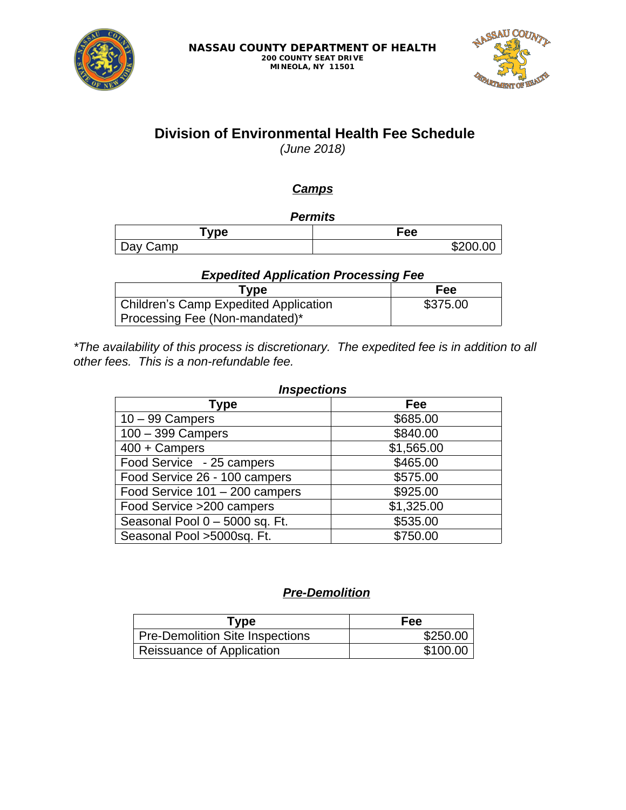



# **Division of Environmental Health Fee Schedule**

*(June 2018)*

## *Camps*

*Permits*

| `vpe          | Fee |
|---------------|-----|
| Camp<br>⊃ay ∩ | .ה  |

### *Expedited Application Processing Fee*

| Type                                  | Fee      |
|---------------------------------------|----------|
| Children's Camp Expedited Application | \$375.00 |
| Processing Fee (Non-mandated)*        |          |

*\*The availability of this process is discretionary. The expedited fee is in addition to all other fees. This is a non-refundable fee.*

| <b>Inspections</b>             |            |  |
|--------------------------------|------------|--|
| Type                           | Fee        |  |
| $10 - 99$ Campers              | \$685.00   |  |
| $100 - 399$ Campers            | \$840.00   |  |
| $400 + Campers$                | \$1,565.00 |  |
| Food Service - 25 campers      | \$465.00   |  |
| Food Service 26 - 100 campers  | \$575.00   |  |
| Food Service 101 - 200 campers | \$925.00   |  |
| Food Service > 200 campers     | \$1,325.00 |  |
| Seasonal Pool 0 - 5000 sq. Ft. | \$535.00   |  |
| Seasonal Pool >5000sq. Ft.     | \$750.00   |  |

### *Pre-Demolition*

| Type                                   | Fee      |
|----------------------------------------|----------|
| <b>Pre-Demolition Site Inspections</b> | \$250.00 |
| Reissuance of Application              | \$100.00 |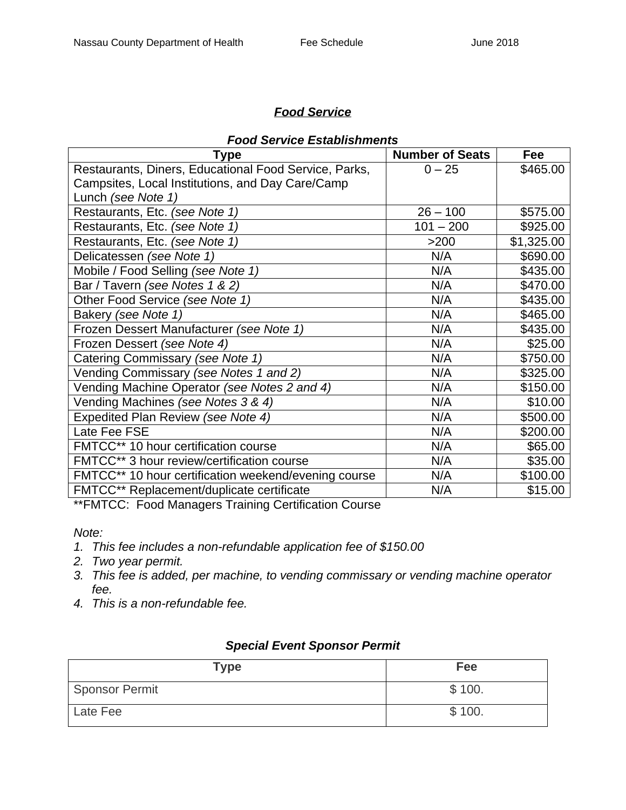### *Food Service*

| <b>Type</b>                                           | <b>Number of Seats</b> | Fee        |
|-------------------------------------------------------|------------------------|------------|
| Restaurants, Diners, Educational Food Service, Parks, | $0 - 25$               | \$465.00   |
| Campsites, Local Institutions, and Day Care/Camp      |                        |            |
| Lunch (see Note 1)                                    |                        |            |
| Restaurants, Etc. (see Note 1)                        | $26 - 100$             | \$575.00   |
| Restaurants, Etc. (see Note 1)                        | $101 - 200$            | \$925.00   |
| Restaurants, Etc. (see Note 1)                        | >200                   | \$1,325.00 |
| Delicatessen (see Note 1)                             | N/A                    | \$690.00   |
| Mobile / Food Selling (see Note 1)                    | N/A                    | \$435.00   |
| Bar / Tavern (see Notes 1 & 2)                        | N/A                    | \$470.00   |
| Other Food Service (see Note 1)                       | N/A                    | \$435.00   |
| Bakery (see Note 1)                                   | N/A                    | \$465.00   |
| Frozen Dessert Manufacturer (see Note 1)              | N/A                    | \$435.00   |
| Frozen Dessert (see Note 4)                           | N/A                    | \$25.00    |
| Catering Commissary (see Note 1)                      | N/A                    | \$750.00   |
| Vending Commissary (see Notes 1 and 2)                | N/A                    | \$325.00   |
| Vending Machine Operator (see Notes 2 and 4)          | N/A                    | \$150.00   |
| Vending Machines (see Notes 3 & 4)                    | N/A                    | \$10.00    |
| Expedited Plan Review (see Note 4)                    | N/A                    | \$500.00   |
| Late Fee FSE                                          | N/A                    | \$200.00   |
| FMTCC** 10 hour certification course                  | N/A                    | \$65.00    |
| FMTCC** 3 hour review/certification course            | N/A                    | \$35.00    |
| FMTCC** 10 hour certification weekend/evening course  | N/A                    | \$100.00   |
| FMTCC** Replacement/duplicate certificate             | N/A                    | \$15.00    |

\*\*FMTCC: Food Managers Training Certification Course

*Note:*

- *1. This fee includes a non-refundable application fee of \$150.00*
- *2. Two year permit.*
- *3. This fee is added, per machine, to vending commissary or vending machine operator fee.*
- *4. This is a non-refundable fee.*

### *Special Event Sponsor Permit*

| <b>Type</b>    | Fee    |
|----------------|--------|
| Sponsor Permit | \$100. |
| Late Fee       | \$100. |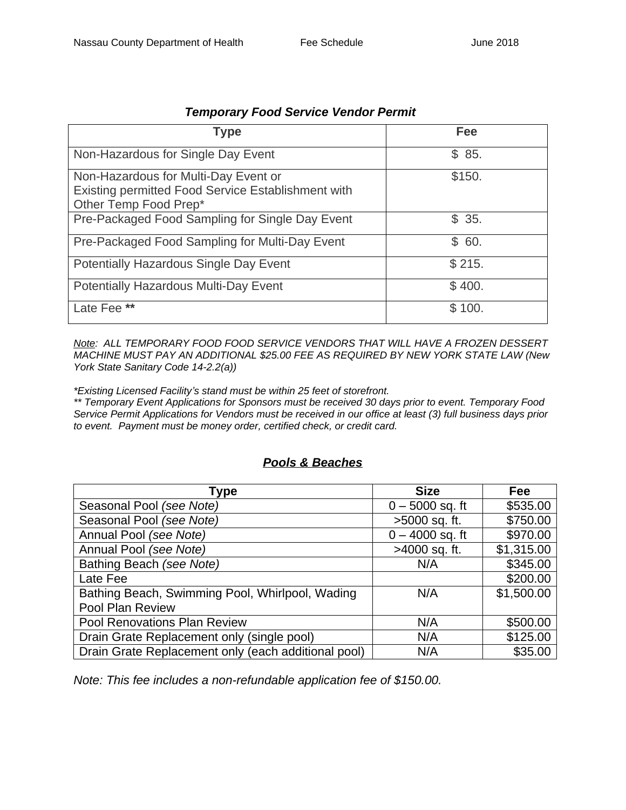| <b>Type</b>                                                                                                         | Fee    |
|---------------------------------------------------------------------------------------------------------------------|--------|
| Non-Hazardous for Single Day Event                                                                                  | \$85.  |
| Non-Hazardous for Multi-Day Event or<br>Existing permitted Food Service Establishment with<br>Other Temp Food Prep* | \$150. |
| Pre-Packaged Food Sampling for Single Day Event                                                                     | \$35.  |
| Pre-Packaged Food Sampling for Multi-Day Event                                                                      | \$60.  |
| Potentially Hazardous Single Day Event                                                                              | \$215. |
| <b>Potentially Hazardous Multi-Day Event</b>                                                                        | \$400. |
| Late Fee **                                                                                                         | \$100. |

#### *Temporary Food Service Vendor Permit*

*Note: ALL TEMPORARY FOOD FOOD SERVICE VENDORS THAT WILL HAVE A FROZEN DESSERT MACHINE MUST PAY AN ADDITIONAL \$25.00 FEE AS REQUIRED BY NEW YORK STATE LAW (New York State Sanitary Code 14-2.2(a))*

*\*Existing Licensed Facility's stand must be within 25 feet of storefront.*

*\*\* Temporary Event Applications for Sponsors must be received 30 days prior to event. Temporary Food Service Permit Applications for Vendors must be received in our office at least (3) full business days prior to event. Payment must be money order, certified check, or credit card.*

### *Pools & Beaches*

| Type                                                | <b>Size</b>       | <b>Fee</b> |
|-----------------------------------------------------|-------------------|------------|
| Seasonal Pool (see Note)                            | $0 - 5000$ sq. ft | \$535.00   |
| Seasonal Pool (see Note)                            | >5000 sq. ft.     | \$750.00   |
| Annual Pool (see Note)                              | $0 - 4000$ sq. ft | \$970.00   |
| Annual Pool (see Note)                              | >4000 sq. ft.     | \$1,315.00 |
| Bathing Beach (see Note)                            | N/A               | \$345.00   |
| Late Fee                                            |                   | \$200.00   |
| Bathing Beach, Swimming Pool, Whirlpool, Wading     | N/A               | \$1,500.00 |
| Pool Plan Review                                    |                   |            |
| Pool Renovations Plan Review                        | N/A               | \$500.00   |
| Drain Grate Replacement only (single pool)          | N/A               | \$125.00   |
| Drain Grate Replacement only (each additional pool) | N/A               | \$35.00    |

*Note: This fee includes a non-refundable application fee of \$150.00.*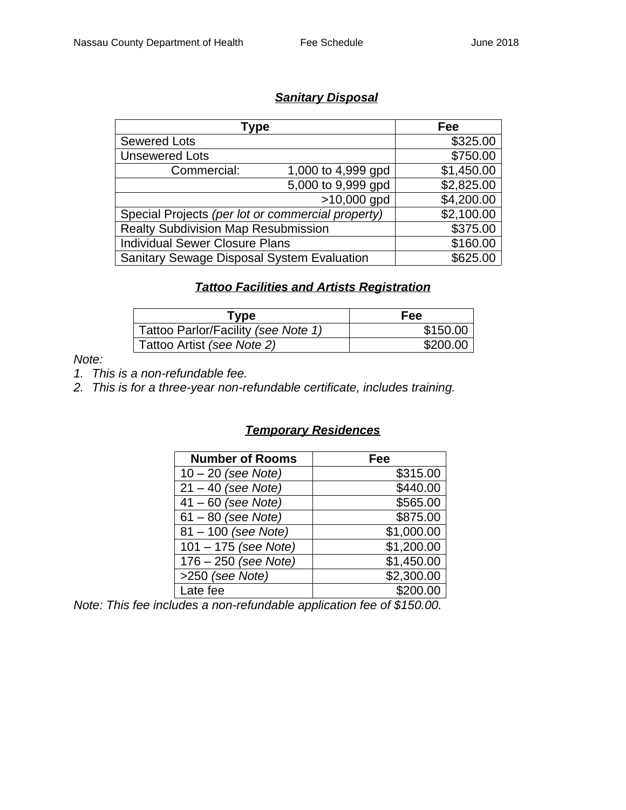## *Sanitary Disposal*

| Type                                              |                    | Fee        |
|---------------------------------------------------|--------------------|------------|
| <b>Sewered Lots</b>                               |                    | \$325.00   |
| <b>Unsewered Lots</b>                             |                    | \$750.00   |
| Commercial:                                       | 1,000 to 4,999 gpd | \$1,450.00 |
|                                                   | 5,000 to 9,999 gpd | \$2,825.00 |
| $>10,000$ gpd                                     |                    | \$4,200.00 |
| Special Projects (per lot or commercial property) |                    | \$2,100.00 |
| <b>Realty Subdivision Map Resubmission</b>        |                    | \$375.00   |
| <b>Individual Sewer Closure Plans</b>             |                    | \$160.00   |
| <b>Sanitary Sewage Disposal System Evaluation</b> |                    | \$625.00   |

#### *Tattoo Facilities and Artists Registration*

| Type                                | Fee      |
|-------------------------------------|----------|
| Tattoo Parlor/Facility (see Note 1) | \$150.00 |
| Tattoo Artist (see Note 2)          | \$200.00 |

*Note:*

*1. This is a non-refundable fee.*

*2. This is for a three-year non-refundable certificate, includes training.*

### *Temporary Residences*

| <b>Number of Rooms</b> | Fee        |
|------------------------|------------|
| $10 - 20$ (see Note)   | \$315.00   |
| $21 - 40$ (see Note)   | \$440.00   |
| $41 - 60$ (see Note)   | \$565.00   |
| $61 - 80$ (see Note)   | \$875.00   |
| 81 - 100 (see Note)    | \$1,000.00 |
| $101 - 175$ (see Note) | \$1,200.00 |
| $176 - 250$ (see Note) | \$1,450.00 |
| >250 (see Note)        | \$2,300.00 |
| Late fee               | \$200.00   |

*Note: This fee includes a non-refundable application fee of \$150.00.*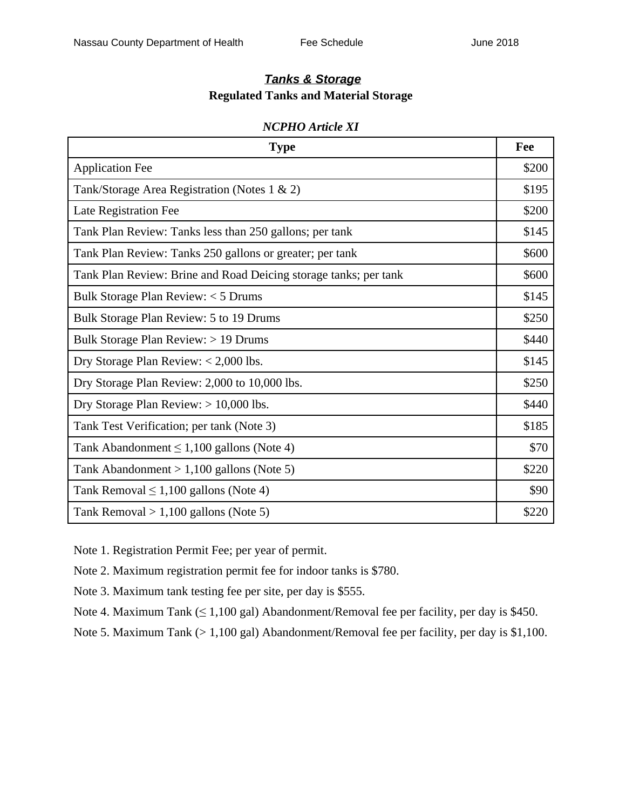### *Tanks & Storage* **Regulated Tanks and Material Storage**

#### *NCPHO Article XI*

| <b>Type</b>                                                      |       |
|------------------------------------------------------------------|-------|
| <b>Application Fee</b>                                           | \$200 |
| Tank/Storage Area Registration (Notes 1 & 2)                     | \$195 |
| Late Registration Fee                                            | \$200 |
| Tank Plan Review: Tanks less than 250 gallons; per tank          | \$145 |
| Tank Plan Review: Tanks 250 gallons or greater; per tank         | \$600 |
| Tank Plan Review: Brine and Road Deicing storage tanks; per tank | \$600 |
| Bulk Storage Plan Review: < 5 Drums                              | \$145 |
| Bulk Storage Plan Review: 5 to 19 Drums                          | \$250 |
| Bulk Storage Plan Review: > 19 Drums                             | \$440 |
| Dry Storage Plan Review: $< 2,000$ lbs.                          | \$145 |
| Dry Storage Plan Review: 2,000 to 10,000 lbs.                    | \$250 |
| Dry Storage Plan Review: $> 10,000$ lbs.                         | \$440 |
| Tank Test Verification; per tank (Note 3)                        | \$185 |
| Tank Abandonment $\leq 1,100$ gallons (Note 4)                   | \$70  |
| Tank Abandonment $> 1,100$ gallons (Note 5)                      | \$220 |
| Tank Removal $\leq 1,100$ gallons (Note 4)                       | \$90  |
| Tank Removal $> 1,100$ gallons (Note 5)                          | \$220 |

Note 1. Registration Permit Fee; per year of permit.

Note 2. Maximum registration permit fee for indoor tanks is \$780.

Note 3. Maximum tank testing fee per site, per day is \$555.

Note 4. Maximum Tank  $( \leq 1,100 \text{ gal})$  Abandonment/Removal fee per facility, per day is \$450.

Note 5. Maximum Tank (> 1,100 gal) Abandonment/Removal fee per facility, per day is \$1,100.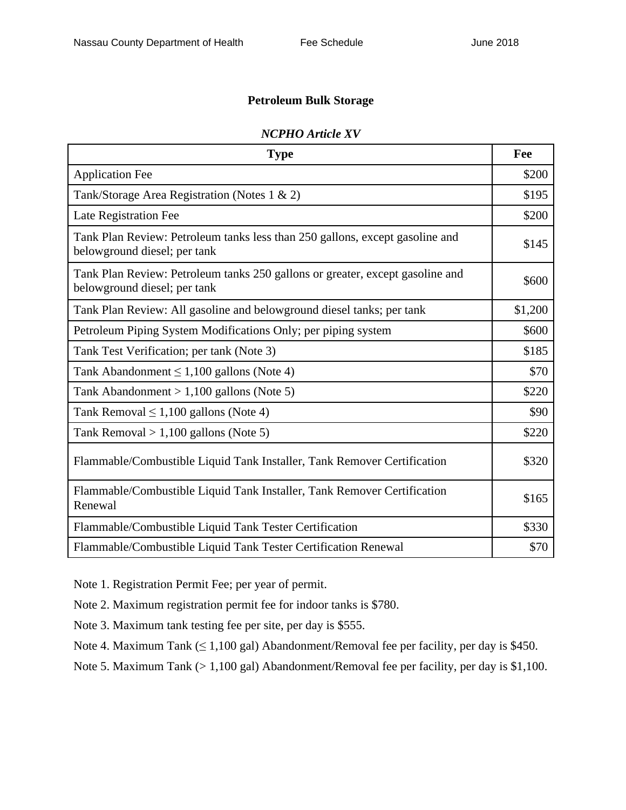### **Petroleum Bulk Storage**

| <b>Type</b>                                                                                                   | Fee     |  |
|---------------------------------------------------------------------------------------------------------------|---------|--|
| <b>Application Fee</b>                                                                                        | \$200   |  |
| Tank/Storage Area Registration (Notes 1 & 2)                                                                  |         |  |
| Late Registration Fee                                                                                         | \$200   |  |
| Tank Plan Review: Petroleum tanks less than 250 gallons, except gasoline and<br>belowground diesel; per tank  |         |  |
| Tank Plan Review: Petroleum tanks 250 gallons or greater, except gasoline and<br>belowground diesel; per tank |         |  |
| Tank Plan Review: All gasoline and belowground diesel tanks; per tank                                         | \$1,200 |  |
| Petroleum Piping System Modifications Only; per piping system                                                 |         |  |
| Tank Test Verification; per tank (Note 3)                                                                     | \$185   |  |
| Tank Abandonment $\leq 1,100$ gallons (Note 4)                                                                |         |  |
| Tank Abandonment $> 1,100$ gallons (Note 5)                                                                   |         |  |
| Tank Removal $\leq 1,100$ gallons (Note 4)                                                                    |         |  |
| Tank Removal $> 1,100$ gallons (Note 5)                                                                       |         |  |
| Flammable/Combustible Liquid Tank Installer, Tank Remover Certification                                       |         |  |
| Flammable/Combustible Liquid Tank Installer, Tank Remover Certification<br>Renewal                            |         |  |
| Flammable/Combustible Liquid Tank Tester Certification                                                        | \$330   |  |
| Flammable/Combustible Liquid Tank Tester Certification Renewal                                                | \$70    |  |

#### *NCPHO Article XV*

Note 1. Registration Permit Fee; per year of permit.

Note 2. Maximum registration permit fee for indoor tanks is \$780.

Note 3. Maximum tank testing fee per site, per day is \$555.

Note 4. Maximum Tank  $(≤ 1,100$  gal) Abandonment/Removal fee per facility, per day is \$450.

Note 5. Maximum Tank (> 1,100 gal) Abandonment/Removal fee per facility, per day is \$1,100.